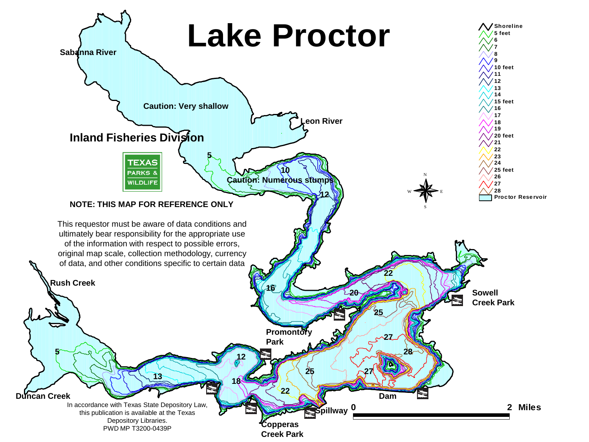